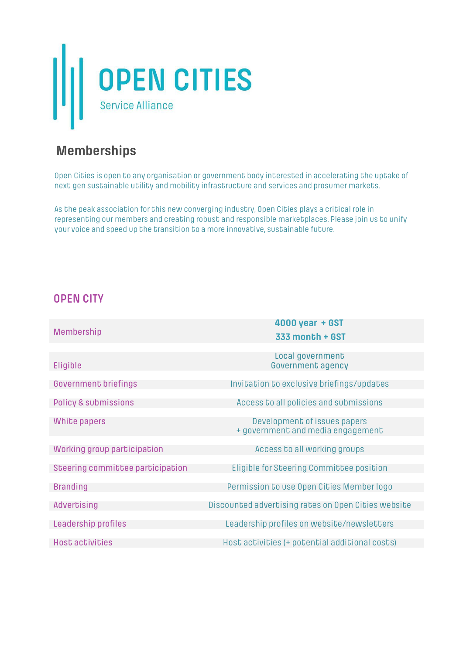

# **Memberships**

Open Cities is open to any organisation or government body interested in accelerating the uptake of next gen sustainable utility and mobility infrastructure and services and prosumer markets.

As the peak association for this new converging industry, Open Cities plays a critical role in representing our members and creating robust and responsible marketplaces. Please join us to unify your voice and speed up the transition to a more innovative, sustainable future.

#### **OPEN CITY**

| Membership                       | 4000 year + GST                                                   |
|----------------------------------|-------------------------------------------------------------------|
|                                  | 333 month + GST                                                   |
|                                  | Local government                                                  |
| Eligible                         | <b>Government agency</b>                                          |
|                                  |                                                                   |
| <b>Government briefings</b>      | Invitation to exclusive briefings/updates                         |
| <b>Policy &amp; submissions</b>  | Access to all policies and submissions                            |
|                                  |                                                                   |
| White papers                     | Development of issues papers<br>+ government and media engagement |
|                                  |                                                                   |
| Working group participation      | Access to all working groups                                      |
| Steering committee participation | <b>Eligible for Steering Committee position</b>                   |
|                                  |                                                                   |
| <b>Branding</b>                  | Permission to use Open Cities Member logo                         |
| Advertising                      | Discounted advertising rates on Open Cities website               |
| Leadership profiles              | Leadership profiles on website/newsletters                        |
|                                  |                                                                   |
| <b>Host activities</b>           | Host activities (+ potential additional costs)                    |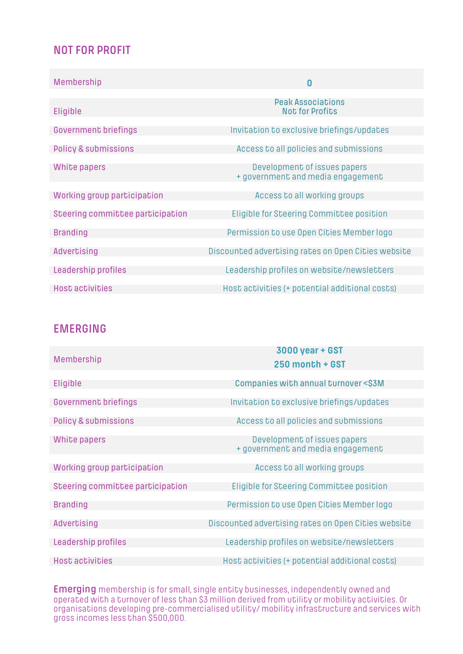### **NOT FOR PROFIT**

| Membership                       | $\bf{0}$                                            |
|----------------------------------|-----------------------------------------------------|
|                                  |                                                     |
| Eligible                         | <b>Peak Associations</b><br><b>Not for Profits</b>  |
|                                  |                                                     |
| <b>Government briefings</b>      | Invitation to exclusive briefings/updates           |
|                                  |                                                     |
| <b>Policy &amp; submissions</b>  | Access to all policies and submissions              |
|                                  |                                                     |
| White papers                     | Development of issues papers                        |
|                                  | + government and media engagement                   |
|                                  |                                                     |
| Working group participation      | Access to all working groups                        |
|                                  |                                                     |
| Steering committee participation | <b>Eligible for Steering Committee position</b>     |
|                                  |                                                     |
| <b>Branding</b>                  | Permission to use Open Cities Member logo           |
|                                  |                                                     |
| <b>Advertising</b>               | Discounted advertising rates on Open Cities website |
|                                  |                                                     |
| Leadership profiles              | Leadership profiles on website/newsletters          |
|                                  |                                                     |
| <b>Host activities</b>           | Host activities (+ potential additional costs)      |

#### **EMERGING**

| Membership                       | 3000 year + GST<br>250 month + GST                                |
|----------------------------------|-------------------------------------------------------------------|
| Eligible                         | Companies with annual turnover <\$3M                              |
| <b>Government briefings</b>      | Invitation to exclusive briefings/updates                         |
| <b>Policy &amp; submissions</b>  | Access to all policies and submissions                            |
| White papers                     | Development of issues papers<br>+ government and media engagement |
| Working group participation      | Access to all working groups                                      |
| Steering committee participation | Eligible for Steering Committee position                          |
| <b>Branding</b>                  | Permission to use Open Cities Member logo                         |
| <b>Advertising</b>               | Discounted advertising rates on Open Cities website               |
| Leadership profiles              | Leadership profiles on website/newsletters                        |
| <b>Host activities</b>           | Host activities (+ potential additional costs)                    |

**Emerging** membership is for small, single entity businesses, independently owned and operated with a turnover of less than \$3 million derived from utility or mobility activities. Or organisations developing pre-commercialised utility/ mobility infrastructure and services with gross incomes less than \$500,000.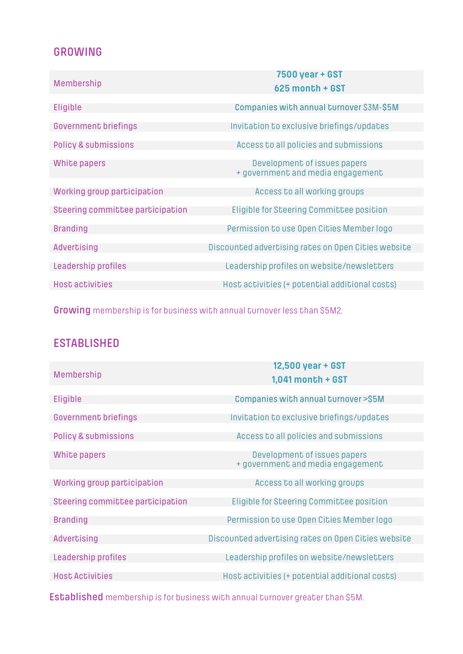### **GROWING**

| Membership                       | 7500 year + GST<br>625 month + GST                                |
|----------------------------------|-------------------------------------------------------------------|
| Eligible                         | Companies with annual turnover \$3M-\$5M                          |
| <b>Government briefings</b>      | Invitation to exclusive briefings/updates                         |
| <b>Policy &amp; submissions</b>  | Access to all policies and submissions                            |
| White papers                     | Development of issues papers<br>+ government and media engagement |
| Working group participation      | Access to all working groups                                      |
| Steering committee participation | Eligible for Steering Committee position                          |
| <b>Branding</b>                  | Permission to use Open Cities Member logo                         |
| <b>Advertising</b>               | Discounted advertising rates on Open Cities website               |
| Leadership profiles              | Leadership profiles on website/newsletters                        |
| <b>Host activities</b>           | Host activities (+ potential additional costs)                    |

**Growing** membership is for business with annual turnover less than \$5M2.

## **ESTABLISHED**

| 12,500 year + GST<br>$1,041$ month + GST                          |
|-------------------------------------------------------------------|
|                                                                   |
| Companies with annual turnover >\$5M                              |
| Invitation to exclusive briefings/updates                         |
|                                                                   |
| Access to all policies and submissions                            |
| Development of issues papers<br>+ government and media engagement |
| Access to all working groups                                      |
|                                                                   |
| Eligible for Steering Committee position                          |
|                                                                   |
| Permission to use Open Cities Member logo                         |
| Discounted advertising rates on Open Cities website               |
|                                                                   |
| Leadership profiles on website/newsletters                        |
| Host activities (+ potential additional costs)                    |
|                                                                   |

**Established** membership is for business with annual turnover greater than \$5M.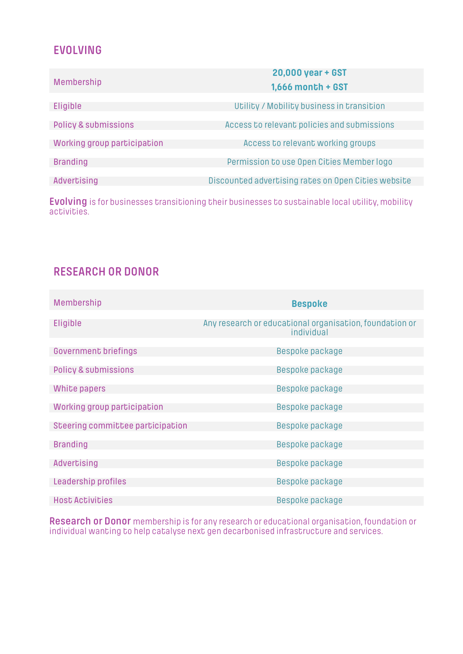### **EVOLVING**

| Membership                      | 20,000 year + GST<br><b>1,666 month + GST</b>       |
|---------------------------------|-----------------------------------------------------|
|                                 |                                                     |
| Eligible                        | Utility / Mobility business in transition           |
| <b>Policy &amp; submissions</b> | Access to relevant policies and submissions         |
|                                 |                                                     |
| Working group participation     | Access to relevant working groups                   |
|                                 |                                                     |
| <b>Branding</b>                 | Permission to use Open Cities Member logo           |
|                                 |                                                     |
| Advertising                     | Discounted advertising rates on Open Cities website |
|                                 |                                                     |

**Evolving** is for businesses transitioning their businesses to sustainable local utility, mobility activities.

## **RESEARCH OR DONOR**

| Membership                       | <b>Bespoke</b>                                                        |
|----------------------------------|-----------------------------------------------------------------------|
| Eligible                         | Any research or educational organisation, foundation or<br>individual |
| <b>Government briefings</b>      | Bespoke package                                                       |
| <b>Policy &amp; submissions</b>  | Bespoke package                                                       |
| White papers                     | Bespoke package                                                       |
| Working group participation      | Bespoke package                                                       |
| Steering committee participation | Bespoke package                                                       |
| <b>Branding</b>                  | Bespoke package                                                       |
| Advertising                      | Bespoke package                                                       |
| Leadership profiles              | Bespoke package                                                       |
| <b>Host Activities</b>           | Bespoke package                                                       |

**Research or Donor** membership is for any research or educational organisation, foundation or individual wanting to help catalyse next gen decarbonised infrastructure and services.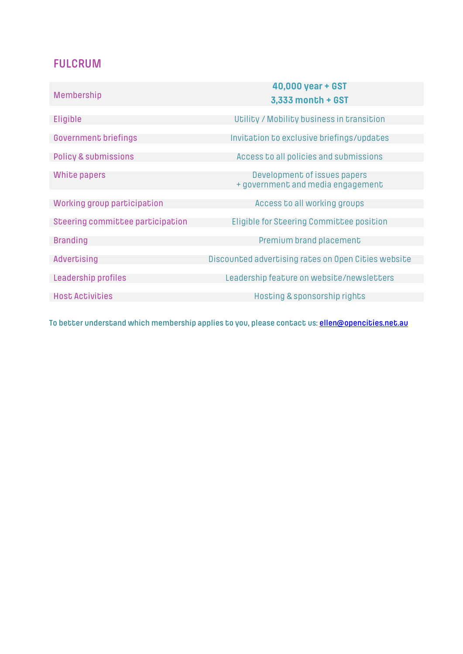### **FULCRUM**

|                                  | 40,000 year + GST                                   |  |  |  |  |
|----------------------------------|-----------------------------------------------------|--|--|--|--|
| <b>Membership</b>                | 3,333 month + GST                                   |  |  |  |  |
|                                  |                                                     |  |  |  |  |
| Eligible                         | Utility / Mobility business in transition           |  |  |  |  |
| <b>Government briefings</b>      | Invitation to exclusive briefings/updates           |  |  |  |  |
| <b>Policy &amp; submissions</b>  | Access to all policies and submissions              |  |  |  |  |
|                                  |                                                     |  |  |  |  |
| White papers                     | Development of issues papers                        |  |  |  |  |
|                                  | + government and media engagement                   |  |  |  |  |
| Working group participation      | Access to all working groups                        |  |  |  |  |
|                                  |                                                     |  |  |  |  |
| Steering committee participation | Eligible for Steering Committee position            |  |  |  |  |
| <b>Branding</b>                  | Premium brand placement                             |  |  |  |  |
| Advertising                      | Discounted advertising rates on Open Cities website |  |  |  |  |
|                                  |                                                     |  |  |  |  |
| Leadership profiles              | Leadership feature on website/newsletters           |  |  |  |  |
| <b>Host Activities</b>           | Hosting & sponsorship rights                        |  |  |  |  |
|                                  |                                                     |  |  |  |  |

**To better understand which membership applies to you, please contact us: ellen@opencities.net.au**